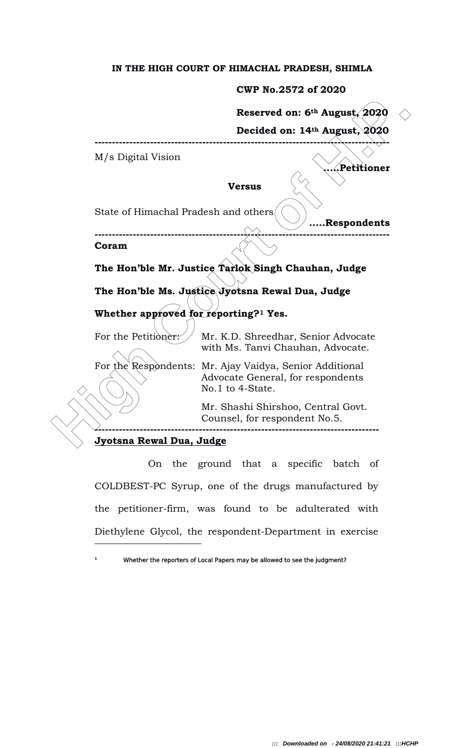### IN THE HIGH COURT OF HIMACHAL PRADESH, SHIMLA

### CWP No.2572 of 2020

Reserved on: 6th August, 2020

Decided on: 14th August, 2020

.Petitioner

.....Respondents

M/s Digital Vision

Versus

-------------------------------------------------------------------------------------

State of Himachal Pradesh and others

------------------------------------------------------------------------------------- Coram

The Hon'ble Mr. Justice Tarlok Singh Chauhan, Judge

The Hon'ble Ms. Justice Jyotsna Rewal Dua, Judge

# Whether approved for reporting?<sup>1</sup> Yes.

For the Petitioner: Mr. K.D. Shreedhar, Senior Advocate with Ms. Tanvi Chauhan, Advocate.

For the Respondents: Mr. Ajay Vaidya, Senior Additional Advocate General, for respondents No.1 to 4-State.

> Mr. Shashi Shirshoo, Central Govt. Counsel, for respondent No.5.

> > ----------------------------------------------------------------------------------

#### Jyotsna Rewal Dua, Judge

1

**Reserved on: 6<sup>th</sup> August, 2020<br>
M/s Digital Vision<br>
Wersus<br>
State of Himachal Pradesh and others<br>
State of Himachal Pradesh and others<br>
Coram<br>
The Hon'ble Mr. Justice Tarlok Singh Chauhan, Judge<br>
The Hon'ble Mr. Justice**  On the ground that a specific batch of COLDBEST-PC Syrup, one of the drugs manufactured by the petitioner-firm, was found to be adulterated with Diethylene Glycol, the respondent-Department in exercise

Whether the reporters of Local Papers may be allowed to see the judgment?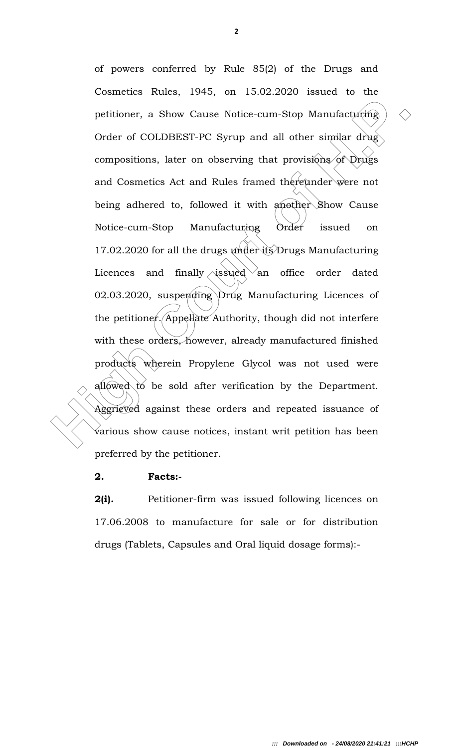petitioner, a Show Cause Notice-cum-Stop Manufacturing  $\Diamond$ <br>
Order of COLDBEST-PC Syrup and all other similar drug<br>
compositions, later on observing that provisions of Drugs<br>
and Cosmetics Act and Rules framed the<br>
feudine of powers conferred by Rule 85(2) of the Drugs and Cosmetics Rules, 1945, on 15.02.2020 issued to the petitioner, a Show Cause Notice-cum-Stop Manufacturing Order of COLDBEST-PC Syrup and all other similar drug compositions, later on observing that provisions of Drugs and Cosmetics Act and Rules framed thereunder were not being adhered to, followed it with another Show Cause Notice-cum-Stop Manufacturing Order issued on 17.02.2020 for all the drugs under its Drugs Manufacturing Licences and finally issued an office order dated 02.03.2020, suspending Drug Manufacturing Licences of the petitioner. Appellate Authority, though did not interfere with these orders, however, already manufactured finished products wherein Propylene Glycol was not used were allowed to be sold after verification by the Department. Aggrieved against these orders and repeated issuance of various show cause notices, instant writ petition has been preferred by the petitioner.

### 2. Facts:-

2(i). Petitioner-firm was issued following licences on 17.06.2008 to manufacture for sale or for distribution drugs (Tablets, Capsules and Oral liquid dosage forms):-

2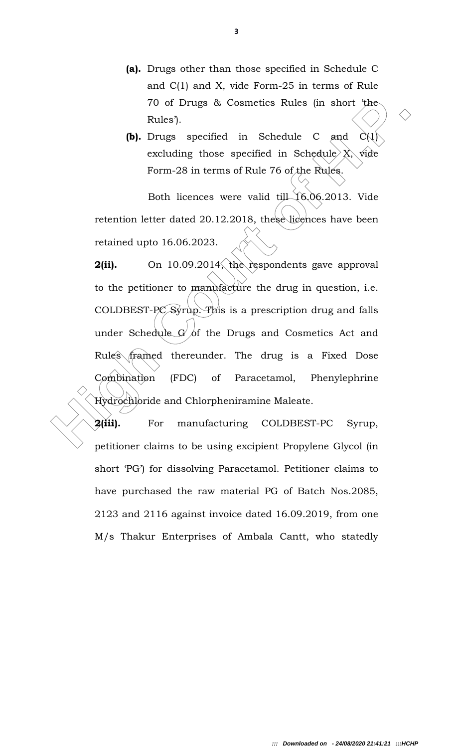- (a). Drugs other than those specified in Schedule C and C(1) and X, vide Form-25 in terms of Rule 70 of Drugs & Cosmetics Rules (in short 'the Rules').
- **(b).** Drugs specified in Schedule C and  $C(1)$ excluding those specified in Schedule  $X$ , wide Form-28 in terms of Rule 76 of the Rules.

Both licences were valid till 16,06.2013. Vide retention letter dated 20.12.2018, these licences have been retained upto 16.06.2023.

70 of Drugs & Cosmetics Rules (in short the Rules).<br> **(b).** Drugs specified in Schedule C and  $C(1)$ .<br> **excluding those specified in Schedule X**, wide<br>
Form-28 in terms of Rule 76 of the Rules.<br>
Both licences were valid t 2(ii). On 10.09.2014, the respondents gave approval to the petitioner to manufacture the drug in question, i.e. COLDBEST-PC Syrup. This is a prescription drug and falls under Schedule G of the Drugs and Cosmetics Act and Rules framed thereunder. The drug is a Fixed Dose Combination (FDC) of Paracetamol, Phenylephrine Hydrochloride and Chlorpheniramine Maleate.

2(iii). For manufacturing COLDBEST-PC Syrup, petitioner claims to be using excipient Propylene Glycol (in short 'PG') for dissolving Paracetamol. Petitioner claims to have purchased the raw material PG of Batch Nos.2085, 2123 and 2116 against invoice dated 16.09.2019, from one M/s Thakur Enterprises of Ambala Cantt, who statedly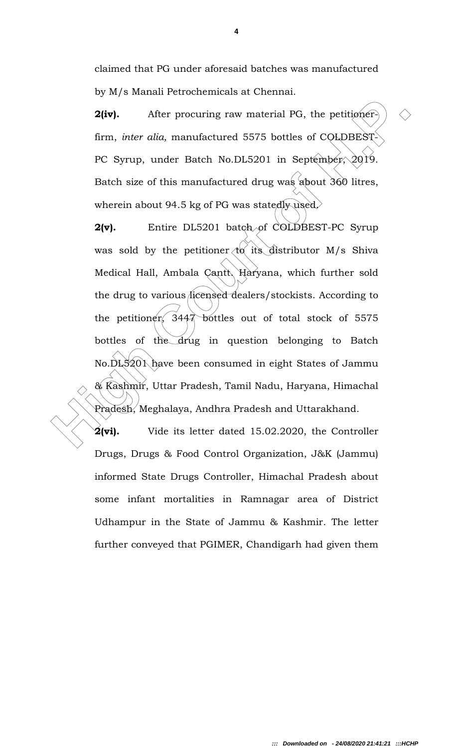claimed that PG under aforesaid batches was manufactured by M/s Manali Petrochemicals at Chennai.

**2(iv).** After procuring raw material PG, the petitioner. firm, *inter alia*, manufactured 5575 bottles of COLDBEST-PC Syrup, under Batch No.DL5201 in September, 2019. Batch size of this manufactured drug was about 360 litres, wherein about 94.5 kg of PG was statedly used.

2(iv). After procuring raw material PG, the petitioners)  $\Diamond$ <br>
firm, *inter alia*, manufactured 5575 bottles of COLDBEST<br>
PC Syrup, under Batch No.DL5201 in September, 2019.<br>
Batch size of this manufactured drug was sabout 2(v). Entire DL5201 batch of COLDBEST-PC Syrup was sold by the petitioner  $\langle t\alpha \rangle$  its distributor M/s Shiva Medical Hall, Ambala Cantt, Haryana, which further sold the drug to various licensed dealers/stockists. According to the petitioner, 3447 bottles out of total stock of 5575 bottles of the drug in question belonging to Batch No.DL5201 have been consumed in eight States of Jammu & Kashmir, Uttar Pradesh, Tamil Nadu, Haryana, Himachal Pradesh, Meghalaya, Andhra Pradesh and Uttarakhand.

 $2(vi)$ . Vide its letter dated 15.02.2020, the Controller Drugs, Drugs & Food Control Organization, J&K (Jammu) informed State Drugs Controller, Himachal Pradesh about some infant mortalities in Ramnagar area of District Udhampur in the State of Jammu & Kashmir. The letter further conveyed that PGIMER, Chandigarh had given them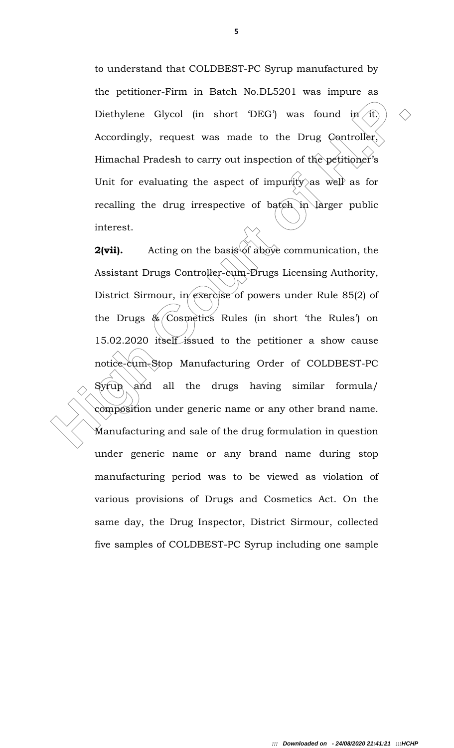to understand that COLDBEST-PC Syrup manufactured by the petitioner-Firm in Batch No.DL5201 was impure as Diethylene Glycol (in short 'DEG') was found in it. Accordingly, request was made to the Drug Controller, Himachal Pradesh to carry out inspection of the petitioner's Unit for evaluating the aspect of impurity as well as for recalling the drug irrespective of batch in larger public interest.

Diethylene Glycol (in short DEG) was found in  $\overline{H}$   $\Diamond$ <br>Accordingly, request was made to the Drug Controller,<br>Himachal Pradesh to carry out inspection of the petitioner's<br>Unit for evaluating the aspect of impurity as **2(vii).** Acting on the basis of above communication, the Assistant Drugs Controller-cum-Drugs Licensing Authority, District Sirmour, in exercise of powers under Rule 85(2) of the Drugs  $\&$  Cosmetics Rules (in short 'the Rules') on 15.02.2020 itself issued to the petitioner a show cause notice-cum-Stop Manufacturing Order of COLDBEST-PC  $Syrup$  and all the drugs having similar formula/ composition under generic name or any other brand name. Manufacturing and sale of the drug formulation in question under generic name or any brand name during stop manufacturing period was to be viewed as violation of various provisions of Drugs and Cosmetics Act. On the same day, the Drug Inspector, District Sirmour, collected five samples of COLDBEST-PC Syrup including one sample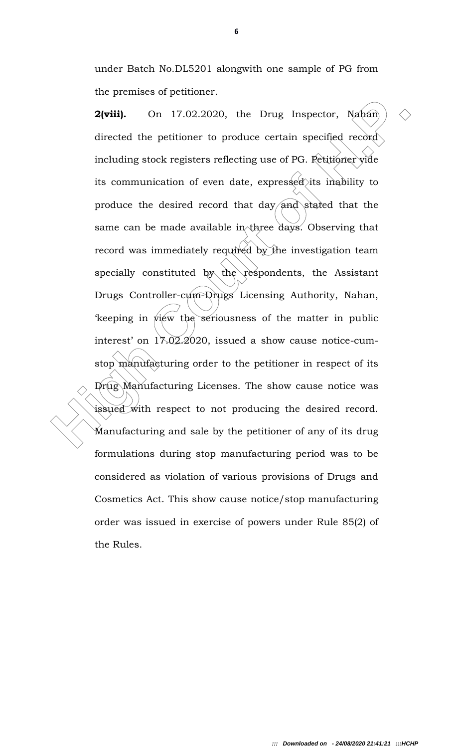under Batch No.DL5201 alongwith one sample of PG from the premises of petitioner.

**2(viii).** On 17.02.2020, the Drug Inspector, Nahian)  $\Diamond$ <br>directed the petitioner to produce certain specified record<br>including stock registers reflecting use of PG. Petitioner yide<br>its communication of even date, expres 2(viii). On 17.02.2020, the Drug Inspector, Nahan directed the petitioner to produce certain specified record including stock registers reflecting use of PG. Petitioner vide its communication of even date, expressed its inability to produce the desired record that day and stated that the same can be made available in three days. Observing that record was immediately required by the investigation team specially constituted by the respondents, the Assistant Drugs Controller-cum-Drugs Licensing Authority, Nahan, 'keeping in view the seriousness of the matter in public interest' on 17.02.2020, issued a show cause notice-cumstop manufacturing order to the petitioner in respect of its Drug Manufacturing Licenses. The show cause notice was issued with respect to not producing the desired record. Manufacturing and sale by the petitioner of any of its drug formulations during stop manufacturing period was to be considered as violation of various provisions of Drugs and Cosmetics Act. This show cause notice/stop manufacturing order was issued in exercise of powers under Rule 85(2) of the Rules.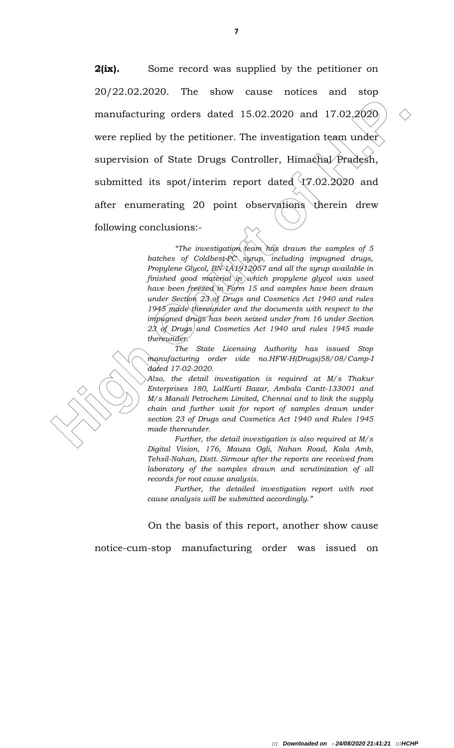manufacturing orders dated 15.02.2020 and 17.02.2020<br>were replied by the petitioner. The investigation team under<br>supervision of State Drugs Controller, Himachial Pradesh,<br>submitted its spot/interim report dated  $47.02.20$ **2(ix).** Some record was supplied by the petitioner on 20/22.02.2020. The show cause notices and stop manufacturing orders dated 15.02.2020 and 17.02.2020 were replied by the petitioner. The investigation team under supervision of State Drugs Controller, Himachal Pradesh, submitted its spot/interim report dated  $\sqrt{17.02.2020}$  and after enumerating 20 point observations therein drew following conclusions:-

"The investigation  $\alpha$  has drawn the samples of 5 batches of Coldbest-PC syrup, including impugned drugs, Propylene Glycol,  $BN-1A1912057$  and all the syrup available in finished good material in which propylene glycol was used have been freezed in Form 15 and samples have been drawn under Section  $23$  of Drugs and Cosmetics Act 1940 and rules 1945 made thereunder and the documents with respect to the impugned drugs has been seized under from 16 under Section  $23$  of Drugs and Cosmetics Act 1940 and rules 1945 made thereunder.

 The State Licensing Authority has issued Stop manufacturing order vide no.HFW-H(Drugs)58/08/Camp-I dated 17-02-2020.

Also, the detail investigation is required at M/s Thakur Enterprises 180, LalKurti Bazar, Ambala Cantt-133001 and M/s Manali Petrochem Limited, Chennai and to link the supply chain and further wait for report of samples drawn under section 23 of Drugs and Cosmetics Act 1940 and Rules 1945 made thereunder.

 Further, the detail investigation is also required at M/s Digital Vision, 176, Mauza Ogli, Nahan Road, Kala Amb, Tehsil-Nahan, Distt. Sirmour after the reports are received from laboratory of the samples drawn and scrutinization of all records for root cause analysis.

 Further, the detailed investigation report with root cause analysis will be submitted accordingly."

On the basis of this report, another show cause

notice-cum-stop manufacturing order was issued on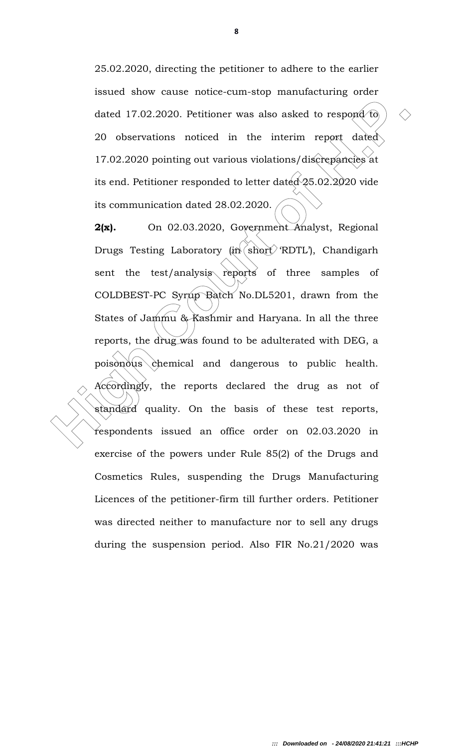25.02.2020, directing the petitioner to adhere to the earlier issued show cause notice-cum-stop manufacturing order dated 17.02.2020. Petitioner was also asked to respond to 20 observations noticed in the interim report dated 17.02.2020 pointing out various violations/discrepancies at its end. Petitioner responded to letter dated  $\sqrt{25.02.2020}$  vide its communication dated 28.02.2020.

dated 17.02.2020. Petitioner was also asked to respond to  $(2.2020)$  observations noticed in the interim report dated  $(17.02.2020)$  pointing out various violations/discrepancies at its end. Petitioner responded to letter 2(x). On 02.03.2020, Government Analyst, Regional Drugs Testing Laboratory (in  $\sin \theta$  'RDTL'), Chandigarh sent the test/analysis reports of three samples of COLDBEST-PC Syrup Batch No.DL5201, drawn from the States of Jammu & Kashmir and Haryana. In all the three reports, the drug was found to be adulterated with DEG, a  $pois\rightarrow\phi$ chemical and dangerous to public health. Accordingly, the reports declared the drug as not of standard quality. On the basis of these test reports, respondents issued an office order on 02.03.2020 in exercise of the powers under Rule 85(2) of the Drugs and Cosmetics Rules, suspending the Drugs Manufacturing Licences of the petitioner-firm till further orders. Petitioner was directed neither to manufacture nor to sell any drugs during the suspension period. Also FIR No.21/2020 was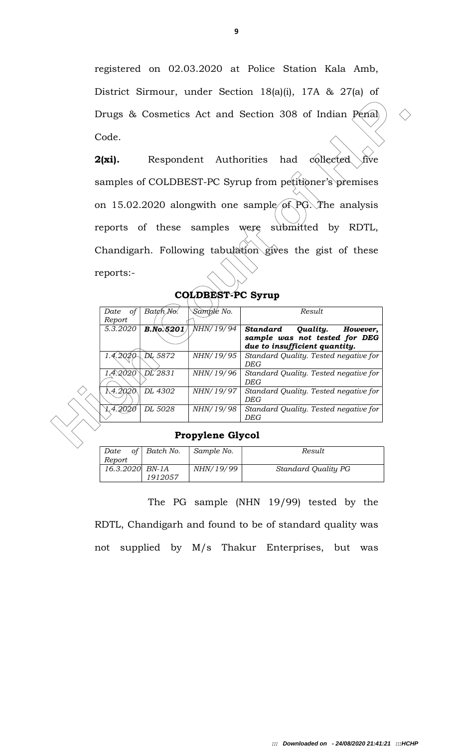registered on 02.03.2020 at Police Station Kala Amb, District Sirmour, under Section 18(a)(i), 17A & 27(a) of Drugs & Cosmetics Act and Section 308 of Indian Penal Code.

Drugs & Cosmetics Act and Section 308 of Indian Penal  $\bigcirc$ <br>
Code.<br> **2(xi).** Respondent Authorities had collected wee<br>
samples of COLDBEST-PC Syrup from peritioner's premises<br>
on 15.02.2020 alongwith one sample of PG. The 2(xi). Respondent Authorities had collected five samples of COLDBEST-PC Syrup from petitioner's premises on 15.02.2020 alongwith one sample of PG. The analysis reports of these samples were submitted by RDTL, Chandigarh. Following tabulation gives the gist of these reports:-

| COLDBEST-PC Syrup |
|-------------------|
|                   |

Date of Batch No.

| Report    |         |                  |           |                                                                                                    |
|-----------|---------|------------------|-----------|----------------------------------------------------------------------------------------------------|
| 5.3.2020  |         | <b>B.No.5201</b> | NHN/19/94 | Quality.<br>Standard<br>However,<br>sample was not tested for DEG<br>due to insufficient quantity. |
| 1.4.2020  | DL 5872 |                  | NHN/19/95 | Standard Quality. Tested negative for<br>DEG                                                       |
| 1.4.2020` | DL 2831 |                  | NHN/19/96 | Standard Quality. Tested negative for<br>DEG                                                       |
| 1,4.2020  | DL 4302 |                  | NHN/19/97 | Standard Quality. Tested negative for<br>DEG                                                       |
| 1,4.2O2O  | DL 5028 |                  | NHN/19/98 | Standard Quality. Tested negative for<br>DEG                                                       |
|           |         |                  |           |                                                                                                    |

 $\sum_{k=1}^{\infty}$  Sample No.

## Propylene Glycol

| of<br>Date<br>Report       | Batch No. | Sample No.       | Result              |
|----------------------------|-----------|------------------|---------------------|
| 16.3.2020 BN-1A<br>1912057 |           | <i>NHN/19/99</i> | Standard Quality PG |

 The PG sample (NHN 19/99) tested by the RDTL, Chandigarh and found to be of standard quality was not supplied by M/s Thakur Enterprises, but was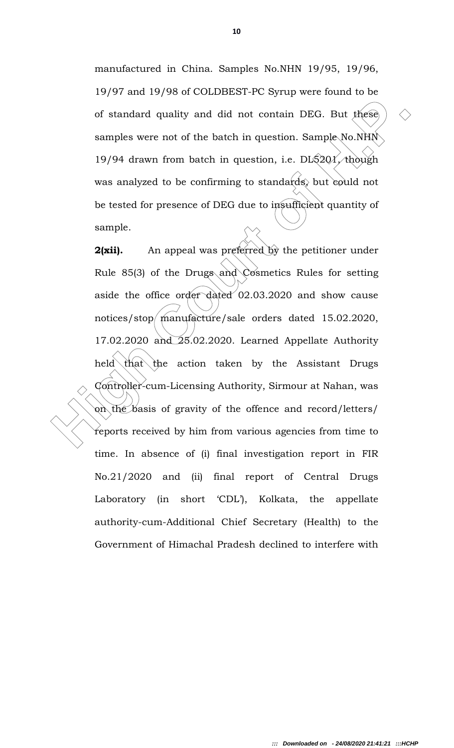manufactured in China. Samples No.NHN 19/95, 19/96, 19/97 and 19/98 of COLDBEST-PC Syrup were found to be of standard quality and did not contain DEG. But these samples were not of the batch in question. Sample No.NHN 19/94 drawn from batch in question, i.e.  $DI5201/100$ was analyzed to be confirming to standards, but could not be tested for presence of DEG due to insufficient quantity of sample.

of standard quality and did not contain DEG. But these  $\geq$   $\geq$  samples were not of the batch in question. Sample No.NHN 19/94 drawn from batch in question, i.e. D15201/though was analyzed to be confirming to standards 2(xii). An appeal was preferred by the petitioner under Rule 85(3) of the Drugs and Cosmetics Rules for setting aside the office order dated 02.03.2020 and show cause notices/stop manufacture/sale orders dated 15.02.2020, 17.02.2020 and 25.02.2020. Learned Appellate Authority held that the action taken by the Assistant Drugs Controller-cum-Licensing Authority, Sirmour at Nahan, was on the basis of gravity of the offence and record/letters/ reports received by him from various agencies from time to time. In absence of (i) final investigation report in FIR No.21/2020 and (ii) final report of Central Drugs Laboratory (in short 'CDL'), Kolkata, the appellate authority-cum-Additional Chief Secretary (Health) to the Government of Himachal Pradesh declined to interfere with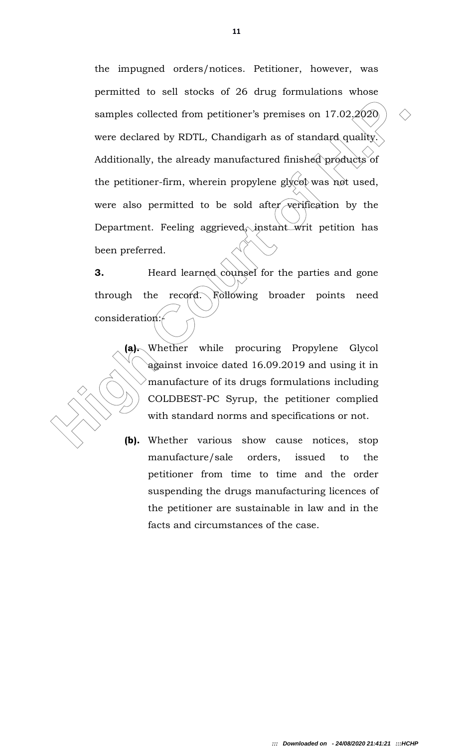samples collected from petitioner's premises on  $17.02.2020$ <br>were declared by RDTL, Chandigarh as of standard quality.<br>Additionally, the already manufactured finished products of<br>the petitioner-firm, wherein propylene gly the impugned orders/notices. Petitioner, however, was permitted to sell stocks of 26 drug formulations whose samples collected from petitioner's premises on 17.02.2020 were declared by RDTL, Chandigarh as of standard quality. Additionally, the already manufactured finished products of the petitioner-firm, wherein propylene glycol was not used, were also permitted to be sold after verification by the Department. Feeling aggrieved, instant writ petition has been preferred.

**3.** Heard learned counsel for the parties and gone through the record. Following broader points need consideration:

> (a). Whether while procuring Propylene Glycol against invoice dated 16.09.2019 and using it in manufacture of its drugs formulations including COLDBEST-PC Syrup, the petitioner complied with standard norms and specifications or not.

> (b). Whether various show cause notices, stop manufacture/sale orders, issued to the petitioner from time to time and the order suspending the drugs manufacturing licences of the petitioner are sustainable in law and in the facts and circumstances of the case.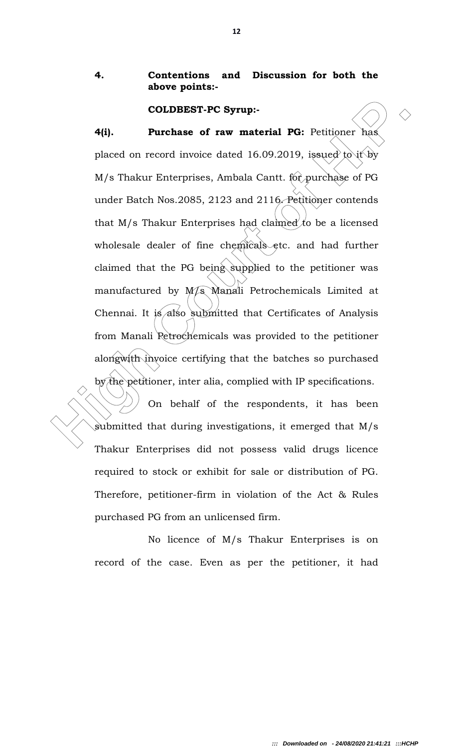# 4. Contentions and Discussion for both the above points:-

#### COLDBEST-PC Syrup:-

**COLDBEST-PC Syrup:**<br> **2011** Purchase of raw material PG: Petitioner has<br>
placed on record invoice dated 16.09.2019, issued to if by<br>  $M/s$  Thakur Enterprises, Ambala Cantt. for purchase of PG<br>
under Batch Nos.2085, 2123 a 4(i). Purchase of raw material PG: Petitioner has placed on record invoice dated 16.09.2019, issued to it by M/s Thakur Enterprises, Ambala Cantt. for purchase of PG under Batch Nos.2085, 2123 and 2116. Petitioner contends that  $M/s$  Thakur Enterprises had claimed to be a licensed wholesale dealer of fine chemicals etc. and had further claimed that the PG being supplied to the petitioner was manufactured by M/s Manali Petrochemicals Limited at Chennai. It is also submitted that Certificates of Analysis from Manali Petrochemicals was provided to the petitioner alongwith invoice certifying that the batches so purchased by the petitioner, inter alia, complied with IP specifications.

 On behalf of the respondents, it has been submitted that during investigations, it emerged that M/s Thakur Enterprises did not possess valid drugs licence required to stock or exhibit for sale or distribution of PG. Therefore, petitioner-firm in violation of the Act & Rules purchased PG from an unlicensed firm.

 No licence of M/s Thakur Enterprises is on record of the case. Even as per the petitioner, it had

12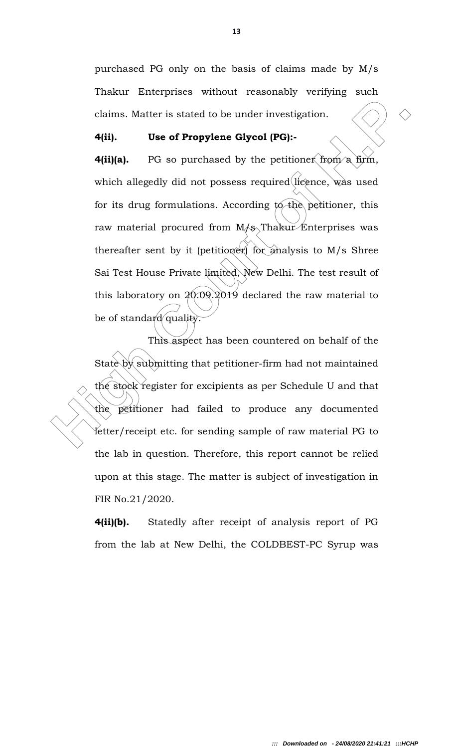purchased PG only on the basis of claims made by M/s Thakur Enterprises without reasonably verifying such claims. Matter is stated to be under investigation.

### 4(ii). Use of Propylene Glycol (PG):-

claims. Matter is stated to be under investigation.<br> **4(ii).** Use of Propylene Glycol (PG):-<br> **4(ii)(a).** PG so purchased by the pertitioner from a firm,<br>
which allegedly did not possess required licence, was used<br>
for it **4(ii)(a).** PG so purchased by the petitioner from a firm, which allegedly did not possess required licence, was used for its drug formulations. According to the petitioner, this raw material procured from  $M/s$  Thakur Enterprises was thereafter sent by it (petitioner) for analysis to  $M/s$  Shree Sai Test House Private limited, New Delhi. The test result of this laboratory on  $20.09.2019$  declared the raw material to be of standard quality.

 This aspect has been countered on behalf of the State by submitting that petitioner-firm had not maintained the stock register for excipients as per Schedule U and that the petitioner had failed to produce any documented letter/receipt etc. for sending sample of raw material PG to the lab in question. Therefore, this report cannot be relied upon at this stage. The matter is subject of investigation in FIR No.21/2020.

4(ii)(b). Statedly after receipt of analysis report of PG from the lab at New Delhi, the COLDBEST-PC Syrup was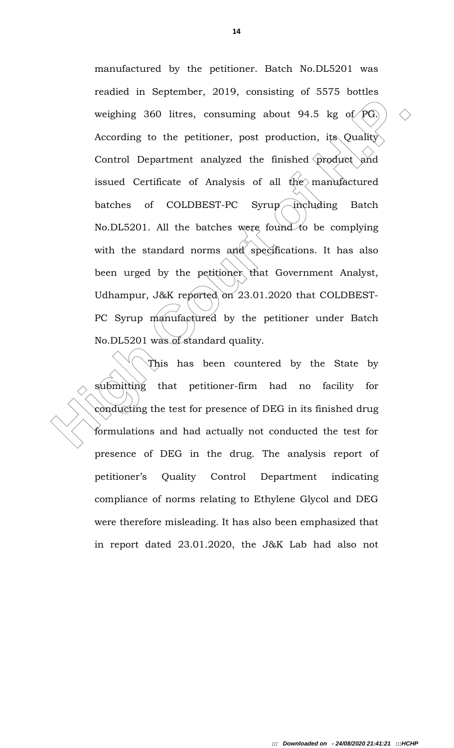weighing 360 litres, consuming about 94.5 kg of  $PG$ )  $\Diamond$ <br>According to the petitioner, post production, its Quality<br>Control Department analyzed the finished product and<br>issued Certificate of Analysis of all the manufactur manufactured by the petitioner. Batch No.DL5201 was readied in September, 2019, consisting of 5575 bottles weighing 360 litres, consuming about 94.5 kg of  $\widehat{PG}$ . According to the petitioner, post production, its Quality Control Department analyzed the finished product and issued Certificate of Analysis of all the manufactured batches of COLDBEST-PC Syrup including Batch No.DL5201. All the batches were found to be complying with the standard norms  $\partial_t d^{\lambda}$  specifications. It has also been urged by the petitioner that Government Analyst, Udhampur, J&K reported on 23.01.2020 that COLDBEST-PC Syrup manufactured by the petitioner under Batch No.DL5201 was of standard quality.

 This has been countered by the State by submitting that petitioner-firm had no facility for conducting the test for presence of DEG in its finished drug formulations and had actually not conducted the test for presence of DEG in the drug. The analysis report of petitioner's Quality Control Department indicating compliance of norms relating to Ethylene Glycol and DEG were therefore misleading. It has also been emphasized that in report dated 23.01.2020, the J&K Lab had also not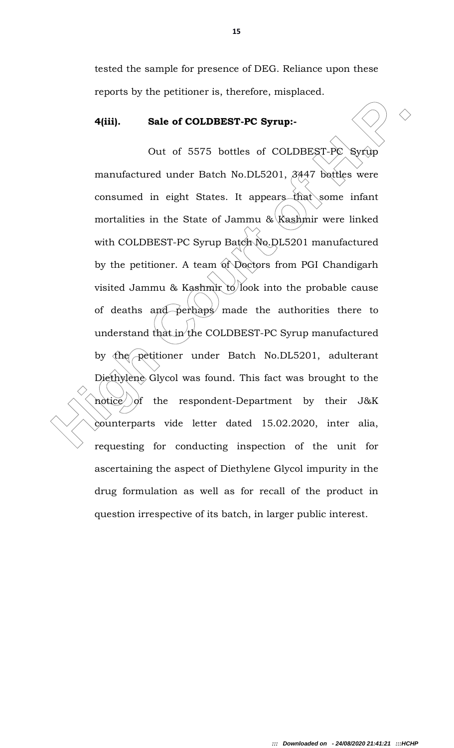tested the sample for presence of DEG. Reliance upon these reports by the petitioner is, therefore, misplaced.

### 4(iii). Sale of COLDBEST-PC Syrup:-

**4(iii).** Sale of COLDBEST-PC Syrup:<br>
Out of 5575 bottles of COLDBEST-PC Syrup:<br>
manufactured under Batch No.DL5201, 3447 bottles were<br>
consumed in eight States. It appears that some infant<br>
mortalities in the State of Jam Out of 5575 bottles of COLDBEST-PC Syrup manufactured under Batch No.DL5201, 3447 bottles were consumed in eight States. It appears that some infant mortalities in the State of Jammu  $\&\$ Kashmir were linked with COLDBEST-PC Syrup Batch No.DL5201 manufactured by the petitioner. A team of Doctors from PGI Chandigarh visited Jammu & Kashmir to look into the probable cause of deaths and perhaps made the authorities there to understand that in the COLDBEST-PC Syrup manufactured by the petitioner under Batch No.DL5201, adulterant Diethylene Glycol was found. This fact was brought to the notice of the respondent-Department by their  $J\&K$ counterparts vide letter dated 15.02.2020, inter alia, requesting for conducting inspection of the unit for ascertaining the aspect of Diethylene Glycol impurity in the drug formulation as well as for recall of the product in question irrespective of its batch, in larger public interest.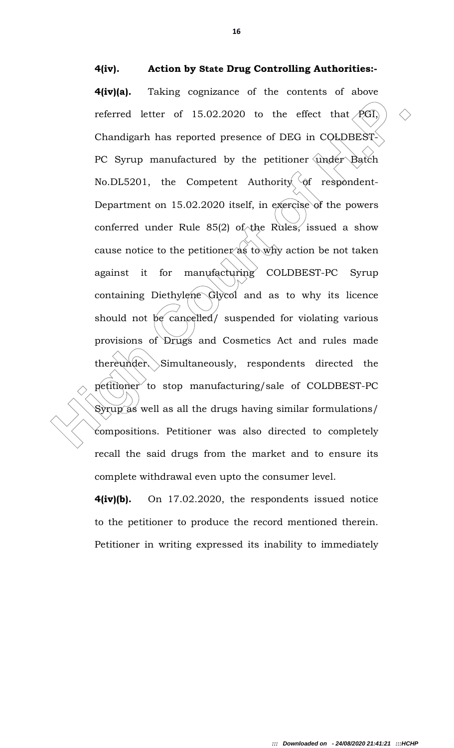4(iv). Action by State Drug Controlling Authorities:- 4(iv)(a). Taking cognizance of the contents of above referred letter of 15.02.2020 to the effect that  $PGI$ , Chandigarh has reported presence of DEG in COLDBEST-PC Syrup manufactured by the petitioner under Batch

referred letter of 15.02.2020 to the effect that PGI)  $\Diamond$ <br>Chandigarh has reported presence of DEG in COLDBEST<br>PC Syrup manufactured by the petitioner under Batch<br>No.DL5201, the Competent Authority of respondent-<br>Departmen No.DL5201, the Competent Authority of respondent-Department on 15.02.2020 itself, in exercise of the powers conferred under Rule 85(2) of the Rules, issued a show cause notice to the petitioner  $a\ddot{s}$  to why action be not taken against it for manufacturing COLDBEST-PC Syrup containing Diethylene Glycol and as to why its licence should not  $\beta e$  cancelled/ suspended for violating various provisions of Drugs and Cosmetics Act and rules made thereunder. Simultaneously, respondents directed the petitioner to stop manufacturing/sale of COLDBEST-PC Syrup as well as all the drugs having similar formulations/ compositions. Petitioner was also directed to completely recall the said drugs from the market and to ensure its complete withdrawal even upto the consumer level.

> 4(iv)(b). On 17.02.2020, the respondents issued notice to the petitioner to produce the record mentioned therein. Petitioner in writing expressed its inability to immediately

16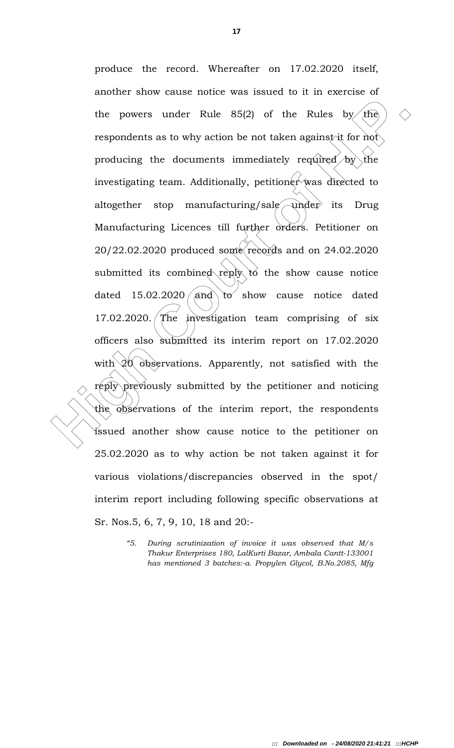the powers under Rule 85(2) of the Rules by  $\epsilon$  respondents as to why action be not taken against it for not producing the documents immediately required by the investigating team. Additionally, petitioner was directed t produce the record. Whereafter on 17.02.2020 itself, another show cause notice was issued to it in exercise of the powers under Rule  $85(2)$  of the Rules by the respondents as to why action be not taken against it for not producing the documents immediately required by the investigating team. Additionally, petitioner was directed to altogether stop manufacturing/sale under its Drug Manufacturing Licences till further orders. Petitioner on 20/22.02.2020 produced some records and on 24.02.2020 submitted its combined reply to the show cause notice dated  $15.02.2020 / \text{and}$  to show cause notice dated 17.02.2020. The investigation team comprising of six officers also submitted its interim report on 17.02.2020 with  $20$  observations. Apparently, not satisfied with the reply previously submitted by the petitioner and noticing the observations of the interim report, the respondents issued another show cause notice to the petitioner on 25.02.2020 as to why action be not taken against it for various violations/discrepancies observed in the spot/ interim report including following specific observations at Sr. Nos.5, 6, 7, 9, 10, 18 and 20:-

<sup>&</sup>quot;5. During scrutinization of invoice it was observed that M/s Thakur Enterprises 180, LalKurti Bazar, Ambala Cantt-133001 has mentioned 3 batches:-a. Propylen Glycol, B.No.2085, Mfg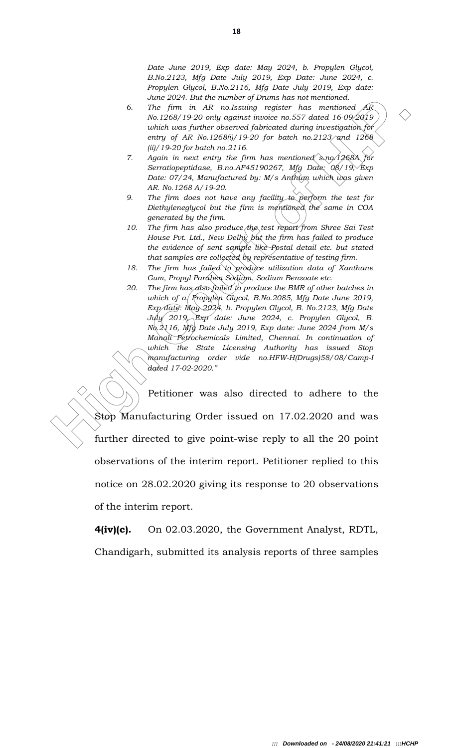Date June 2019, Exp date: May 2024, b. Propylen Glycol, B.No.2123, Mfg Date July 2019, Exp Date: June 2024, c. Propylen Glycol, B.No.2116, Mfg Date July 2019, Exp date: June 2024. But the number of Drums has not mentioned.

- 6. The firm in AR no.Issuing register has mentioned  $AR$ No.1268/19-20 only against invoice no.557 dated 16-09-2019 which was further observed fabricated during investigation for entry of AR No.1268(i)/19-20 for batch no.2123 $\gamma$  and 1268 (ii)/19-20 for batch no.2116.
- 7. Again in next entry the firm has mentioned s.no. 1268A for Serratiopeptidase, B.no.AF45190267, Mfg Date: 08/19, Exp Date: 07/24, Manufactured by: M/s Anthum which was given AR. No.1268 A/19-20.
- 9. The firm does not have any facility to perform the test for Diethyleneglycol but the firm is mentioned the same in COA generated by the firm.
- 10. The firm has also produce the test report from Shree Sai Test House Pvt. Ltd., New Delhi, but the firm has failed to produce the evidence of sent sample like Postal detail etc. but stated that samples are collected by representative of testing firm.
- 18. The firm has failed to produce utilization data of Xanthane Gum, Propyl Paraben Sodium, Sodium Benzoate etc.
- 20. The firm has also failed to produce the BMR of other batches in which of a. Propylen Glycol, B.No.2085, Mfg Date June 2019, Exp date: May 2024, b. Propylen Glycol, B. No.2123, Mfg Date July 2019,  $Exp$  date: June 2024, c. Propylen Glycol, B.  $N_0$   $2116$ ,  $Mfg$  Date July 2019, Exp date: June 2024 from M/s Manali Petrochemicals Limited, Chennai. In continuation of which the State Licensing Authority has issued Stop manufacturing order vide no.HFW-H(Drugs)58/08/Camp-I dated 17-02-2020."

3. The *Figure and the state weather of Derivalis and the methods*.<br>
3. The *Figure in MK no beauty register has mentioned.* (We have the state of the state of the state of the state of the state of the state of the state Petitioner was also directed to adhere to the Stop Manufacturing Order issued on 17.02.2020 and was further directed to give point-wise reply to all the 20 point observations of the interim report. Petitioner replied to this notice on 28.02.2020 giving its response to 20 observations of the interim report.

 $\overline{\phantom{0}}$ 

4(iv)(c). On 02.03.2020, the Government Analyst, RDTL, Chandigarh, submitted its analysis reports of three samples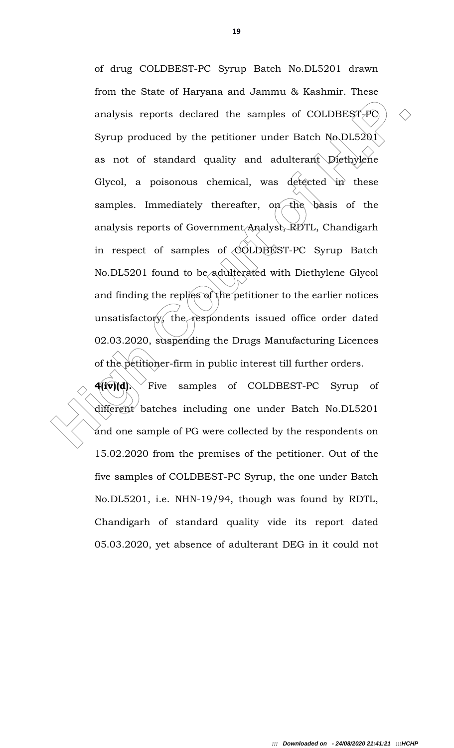analysis reports declared the samples of COLDBEST- $\rho$   $\odot$ <br>Syrup produced by the petitioner under Batch No.DL5201<br>as not of standard quality and adulterant Diethylene<br>Giycol, a poisonous chemical, was defected in these<br> of drug COLDBEST-PC Syrup Batch No.DL5201 drawn from the State of Haryana and Jammu & Kashmir. These analysis reports declared the samples of COLDBEST- $\overline{PQ}$ Syrup produced by the petitioner under Batch No.DL5201 as not of standard quality and adulterant Diethylene Glycol, a poisonous chemical, was detected in these samples. Immediately thereafter, on the basis of the analysis reports of Government/Analyst, RDTL, Chandigarh in respect of samples of  $\langle \hat{O}$ LDBEST-PC Syrup Batch No.DL5201 found to be adulterated with Diethylene Glycol and finding the replies of the petitioner to the earlier notices unsatisfactory, the respondents issued office order dated 02.03.2020, suspending the Drugs Manufacturing Licences of the petitioner-firm in public interest till further orders.

 $\mathbf{4}$ (iv)(d). Five samples of COLDBEST-PC Syrup of different batches including one under Batch No.DL5201 and one sample of PG were collected by the respondents on 15.02.2020 from the premises of the petitioner. Out of the five samples of COLDBEST-PC Syrup, the one under Batch No.DL5201, i.e. NHN-19/94, though was found by RDTL, Chandigarh of standard quality vide its report dated 05.03.2020, yet absence of adulterant DEG in it could not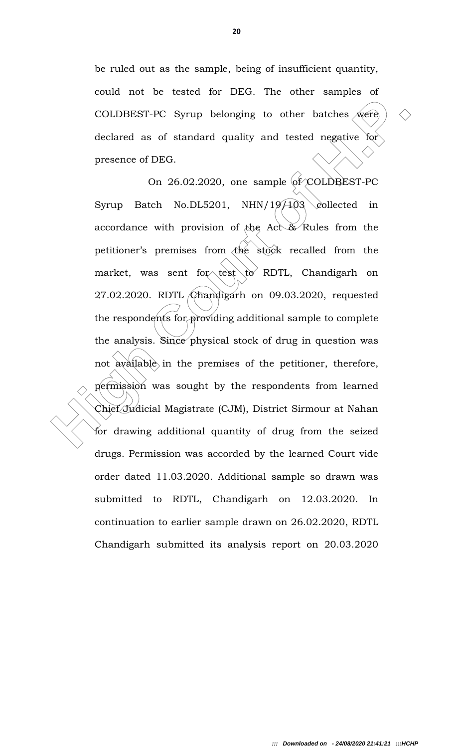be ruled out as the sample, being of insufficient quantity, could not be tested for DEG. The other samples of COLDBEST-PC Syrup belonging to other batches  $\sqrt{w}$ ere declared as of standard quality and tested negative for presence of DEG.

COLDBEST-PC Syrup belonging to other batches were<br>declared as of standard quality and tested negative for<br>presence of DEG.<br>On 26.02.2020, one sample of COLDBEST-PC<br>Syrup Batch No.DL5201, NHN/19/103 collected in<br>accordance On  $26.02.2020$ , one sample  $of$  COLDBEST-PC Syrup Batch No.DL5201, NHN/19/ $\frac{19}{103}$  collected in accordance with provision of the Act & Rules from the petitioner's premises from  $\triangleleft$ he stock recalled from the market, was sent for test to RDTL, Chandigarh on 27.02.2020. RDTL Chandigarh on 09.03.2020, requested the respondents for providing additional sample to complete the analysis. Since physical stock of drug in question was not available in the premises of the petitioner, therefore, permission was sought by the respondents from learned Chief Judicial Magistrate (CJM), District Sirmour at Nahan for drawing additional quantity of drug from the seized drugs. Permission was accorded by the learned Court vide order dated 11.03.2020. Additional sample so drawn was submitted to RDTL, Chandigarh on 12.03.2020. In continuation to earlier sample drawn on 26.02.2020, RDTL Chandigarh submitted its analysis report on 20.03.2020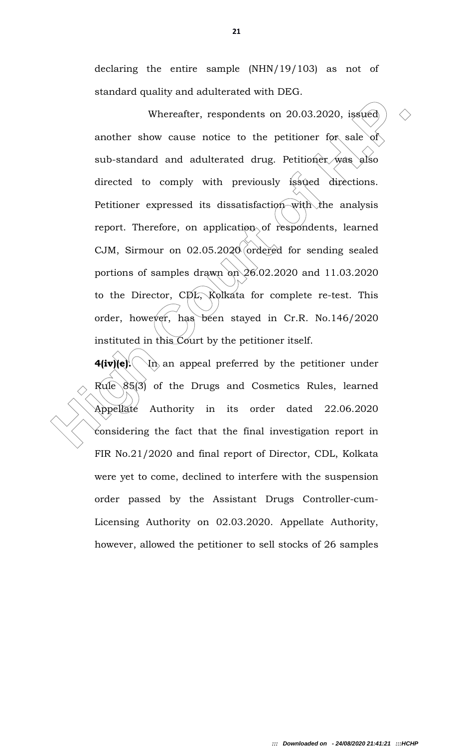declaring the entire sample (NHN/19/103) as not of standard quality and adulterated with DEG.

Whereafter, respondents on 20.03.2020, issued  $\Diamond$ <br>another show cause notice to the petitioner for sale of<br>sub-standard and adulterated drug. Petitioner was also<br>directed to comply with previously (ssued directions.<br>Petit Whereafter, respondents on 20.03.2020, issued another show cause notice to the petitioner for sale of sub-standard and adulterated drug. Petitioner was also directed to comply with previously issued directions. Petitioner expressed its dissatisfaction with the analysis report. Therefore, on application of respondents, learned CJM, Sirmour on 02.05.2020 ordered for sending sealed portions of samples drawn on  $26.02.2020$  and 11.03.2020 to the Director, CDL, Kolkata for complete re-test. This order, however, has been stayed in Cr.R. No.146/2020 instituted in this Court by the petitioner itself.

**4(iv)(e).**  $\langle \nabla \cdot \mathbf{h} \rangle$  an appeal preferred by the petitioner under Rule 85(3) of the Drugs and Cosmetics Rules, learned Appellate Authority in its order dated 22.06.2020 considering the fact that the final investigation report in FIR No.21/2020 and final report of Director, CDL, Kolkata were yet to come, declined to interfere with the suspension order passed by the Assistant Drugs Controller-cum-Licensing Authority on 02.03.2020. Appellate Authority, however, allowed the petitioner to sell stocks of 26 samples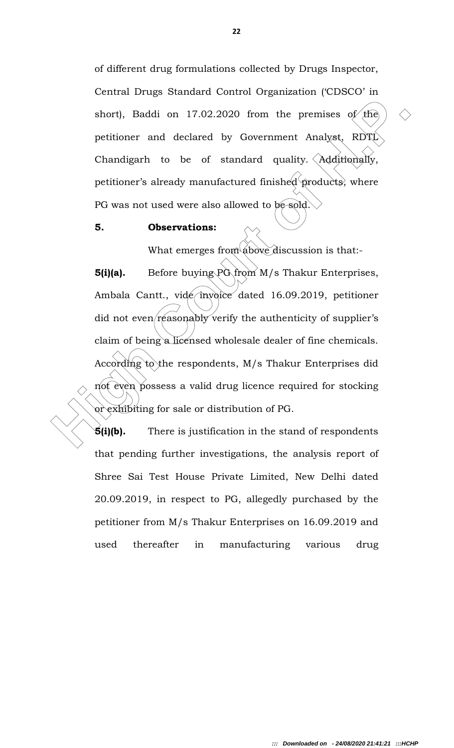of different drug formulations collected by Drugs Inspector, Central Drugs Standard Control Organization ('CDSCO' in short), Baddi on 17.02.2020 from the premises of the petitioner and declared by Government Analyst, RDTL Chandigarh to be of standard quality.  $\triangle$ dditionally, petitioner's already manufactured finished products, where PG was not used were also allowed to be sold.

### 5. Observations:

What emerges from above discussion is that:-

short), Baddi on 17.02.2020 from the premises of the pertitioner and declared by Government Analyst, RDTL<br>
Chandigarh to be of standard quality. Additionally,<br>
petitioner's already manufactured finished products; where<br>
P  $5(i)(a)$ . Before buying  $P\hat{G}$  from  $M/s$  Thakur Enterprises, Ambala Cantt., vide invoice dated 16.09.2019, petitioner did not even reasonably verify the authenticity of supplier's claim of being a licensed wholesale dealer of fine chemicals. According to the respondents, M/s Thakur Enterprises did not even possess a valid drug licence required for stocking or exhibiting for sale or distribution of PG.

 $\mathbf{5}(i)(b)$ . There is justification in the stand of respondents that pending further investigations, the analysis report of Shree Sai Test House Private Limited, New Delhi dated 20.09.2019, in respect to PG, allegedly purchased by the petitioner from M/s Thakur Enterprises on 16.09.2019 and used thereafter in manufacturing various drug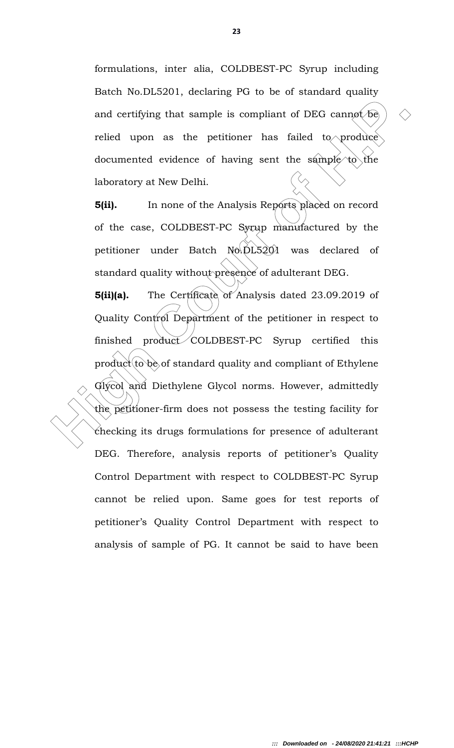formulations, inter alia, COLDBEST-PC Syrup including Batch No.DL5201, declaring PG to be of standard quality and certifying that sample is compliant of DEG cannot be relied upon as the petitioner has failed to produce documented evidence of having sent the sample to the laboratory at New Delhi.

**5(ii).** In none of the Analysis Reports placed on record of the case, COLDBEST-PC Syrup manufactured by the petitioner under Batch No.DL5201 was declared of standard quality without presence of adulterant DEG.

and certifying that sample is compliant of DEG cannot be relied upon as the petitioner has failed to produce documented evidence of having sent the sample to produce documented evidence of having sent the sample of the la 5(ii)(a). The Certificate of Analysis dated 23.09.2019 of Quality Control Department of the petitioner in respect to finished product COLDBEST-PC Syrup certified this  $product(to)$  be of standard quality and compliant of Ethylene Glycol and Diethylene Glycol norms. However, admittedly the petitioner-firm does not possess the testing facility for checking its drugs formulations for presence of adulterant DEG. Therefore, analysis reports of petitioner's Quality Control Department with respect to COLDBEST-PC Syrup cannot be relied upon. Same goes for test reports of petitioner's Quality Control Department with respect to analysis of sample of PG. It cannot be said to have been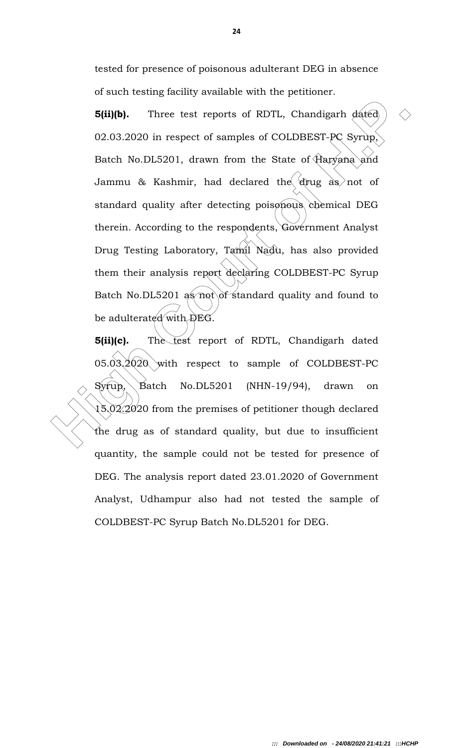tested for presence of poisonous adulterant DEG in absence of such testing facility available with the petitioner.

**5(ii)(b).** Three test reports of RDTL, Chandigarh dated)  $\Diamond$ <br>
02.03.2020 in respect of samples of COLDBEST-PC Syrup,<br>
Batch No.DL5201, drawn from the State of Haryana and<br>
Jammu & Kashmir, had declared the drug as not o **5(ii)(b).** Three test reports of RDTL, Chandigarh dated 02.03.2020 in respect of samples of COLDBEST-PC Syrup, Batch No.DL5201, drawn from the State of Haryana and Jammu & Kashmir, had declared the drug as not of standard quality after detecting poisonous chemical DEG therein. According to the respondents, Government Analyst Drug Testing Laboratory, Tamil Nadu, has also provided them their analysis report declaring COLDBEST-PC Syrup Batch No.DL5201 as  $\text{mod}$  of standard quality and found to be adulterated with DEG.

**5(ii)(c).** The test report of RDTL, Chandigarh dated 05.03.2020 with respect to sample of COLDBEST-PC Syrup, Batch No.DL5201 (NHN-19/94), drawn on  $15.02.2020$  from the premises of petitioner though declared the drug as of standard quality, but due to insufficient quantity, the sample could not be tested for presence of DEG. The analysis report dated 23.01.2020 of Government Analyst, Udhampur also had not tested the sample of COLDBEST-PC Syrup Batch No.DL5201 for DEG.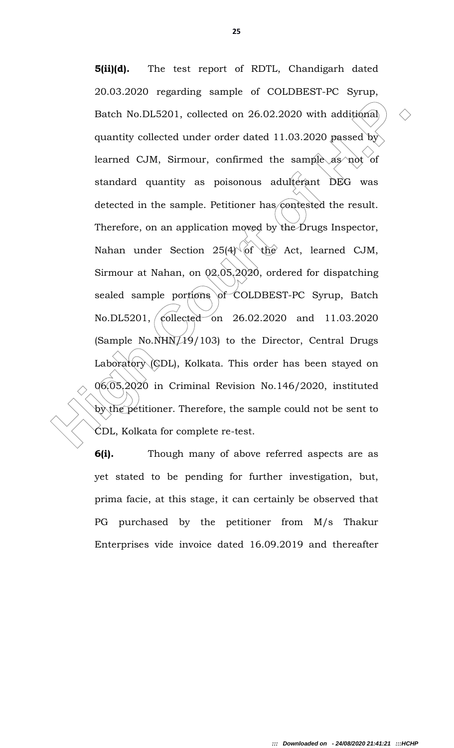Batch No.DL5201, collected on 26.02.2020 with additional  $\Diamond$ <br>quantity collected under order dated 11.03.2020 passed by<br>learned CJM, Sirmour, confirmed the sample as not of<br>standard quantity as poisonous adulterant DEG wa 5(ii)(d). The test report of RDTL, Chandigarh dated 20.03.2020 regarding sample of COLDBEST-PC Syrup, Batch No.DL5201, collected on 26.02.2020 with additional quantity collected under order dated 11.03.2020 passed by learned CJM, Sirmour, confirmed the sample as not of standard quantity as poisonous adulterant DEG was detected in the sample. Petitioner has contested the result. Therefore, on an application moved by the Drugs Inspector, Nahan under Section  $25(4)$  of the Act, learned CJM, Sirmour at Nahan, on 02.05.2020, ordered for dispatching sealed sample portions of COLDBEST-PC Syrup, Batch No.DL5201, collected on 26.02.2020 and 11.03.2020 (Sample No.NHN $\cancel{19}/103$ ) to the Director, Central Drugs Laboratory (CDL), Kolkata. This order has been stayed on 06.05.2020 in Criminal Revision No.146/2020, instituted by the petitioner. Therefore, the sample could not be sent to CDL, Kolkata for complete re-test.

**6(i).** Though many of above referred aspects are as yet stated to be pending for further investigation, but, prima facie, at this stage, it can certainly be observed that PG purchased by the petitioner from M/s Thakur Enterprises vide invoice dated 16.09.2019 and thereafter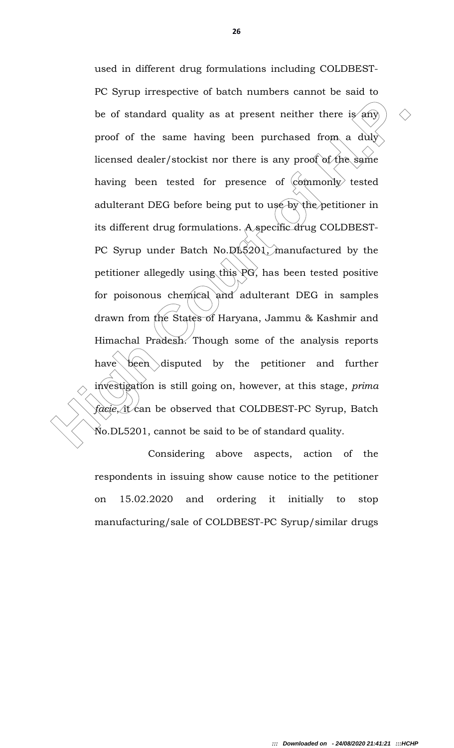be of standard quality as at present neither there is any  $\Diamond$ <br>proof of the same having been purchased from a duly<br>licensed dealer/stockist nor there is any proof of the same<br>having been tested for presence of  $\langle \text{commonly'}\rangle$ used in different drug formulations including COLDBEST-PC Syrup irrespective of batch numbers cannot be said to be of standard quality as at present neither there is any proof of the same having been purchased from a duly licensed dealer/stockist nor there is any proof of the same having been tested for presence of  $\langle \text{command } \rangle$  tested adulterant DEG before being put to use by the petitioner in its different drug formulations. A specific drug COLDBEST-PC Syrup under Batch No.DL $\frac{5201}{3}$  manufactured by the petitioner allegedly using this PG, has been tested positive for poisonous chemical and adulterant DEG in samples drawn from the States of Haryana, Jammu & Kashmir and Himachal Pradesh. Though some of the analysis reports have been disputed by the petitioner and further investigation is still going on, however, at this stage, prima  $facie,$  it can be observed that COLDBEST-PC Syrup, Batch No.DL5201, cannot be said to be of standard quality.

 Considering above aspects, action of the respondents in issuing show cause notice to the petitioner on 15.02.2020 and ordering it initially to stop manufacturing/sale of COLDBEST-PC Syrup/similar drugs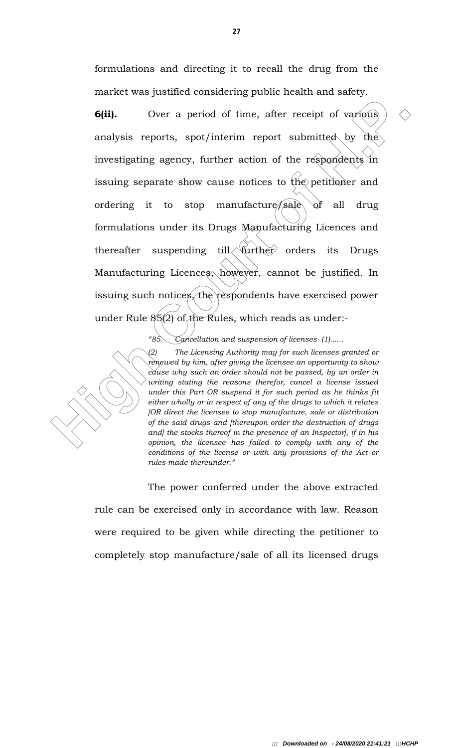formulations and directing it to recall the drug from the market was justified considering public health and safety.

**6(ii).** Over a period of time, after receipt of various)  $\Diamond$ <br>analysis reports, spot/interim report submitted by the<br>investigating agency, further action of the respondents in<br>issuing separate show cause notices to the p **6(ii).** Over a period of time, after receipt of various analysis reports, spot/interim report submitted by the investigating agency, further action of the respondents in issuing separate show cause notices to the petitioner and ordering it to stop manufacture/sale of all drug formulations under its Drugs Manufacturing Licences and thereafter suspending till  $\sqrt{\text{further}}$  orders its Drugs Manufacturing Licences, however, cannot be justified. In issuing such notices, the respondents have exercised power under Rule 85(2) of the Rules, which reads as under:-

"85. Cancellation and suspension of licenses- (1)......

(2) The Licensing Authority may for such licenses granted or rènewed by him, after giving the licensee an opportunity to show cause why such an order should not be passed, by an order in writing stating the reasons therefor, cancel a license issued under this Part OR suspend it for such period as he thinks fit either wholly or in respect of any of the drugs to which it relates [OR direct the licensee to stop manufacture, sale or distribution of the said drugs and [thereupon order the destruction of drugs and] the stocks thereof in the presence of an Inspector], if in his opinion, the licensee has failed to comply with any of the conditions of the license or with any provisions of the Act or rules made thereunder."

 The power conferred under the above extracted rule can be exercised only in accordance with law. Reason were required to be given while directing the petitioner to completely stop manufacture/sale of all its licensed drugs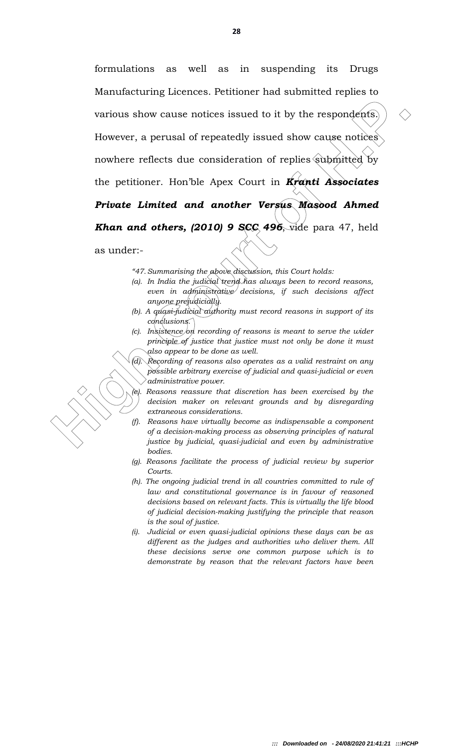various show cause notices issued to it by the respondents)  $\Diamond$ <br>
However, a perusal of repeatedly issued show cause notices)<br>
nowhere reflects due consideration of replies submitted by<br>
the petitioner. Hon'ble Apex Court formulations as well as in suspending its Drugs Manufacturing Licences. Petitioner had submitted replies to various show cause notices issued to it by the respondents. However, a perusal of repeatedly issued show cause notices nowhere reflects due consideration of replies submitted by the petitioner. Hon'ble Apex Court in Kranti Associates Private Limited and another Versus Masood Ahmed **Khan and others, (2010) 9 SCC 496**, vide para 47, held

as under:-

"47. Summarising the above discussion, this Court holds:

- (a). In India the judicial trend has always been to record reasons, even in administrative decisions, if such decisions affect anyone prejudicially.
- (b). A quasi-judicial authority must record reasons in support of its conclusions.
- $(c)$ . Insistence on recording of reasons is meant to serve the wider principle of justice that justice must not only be done it must also appear to be done as well.

(d). Recording of reasons also operates as a valid restraint on any possible arbitrary exercise of judicial and quasi-judicial or even administrative power.

(e). Reasons reassure that discretion has been exercised by the decision maker on relevant grounds and by disregarding extraneous considerations.

- (f). Reasons have virtually become as indispensable a component of a decision-making process as observing principles of natural justice by judicial, quasi-judicial and even by administrative bodies.
- (g). Reasons facilitate the process of judicial review by superior Courts.
- (h). The ongoing judicial trend in all countries committed to rule of law and constitutional governance is in favour of reasoned decisions based on relevant facts. This is virtually the life blood of judicial decision-making justifying the principle that reason is the soul of justice.
- (i). Judicial or even quasi-judicial opinions these days can be as different as the judges and authorities who deliver them. All these decisions serve one common purpose which is to demonstrate by reason that the relevant factors have been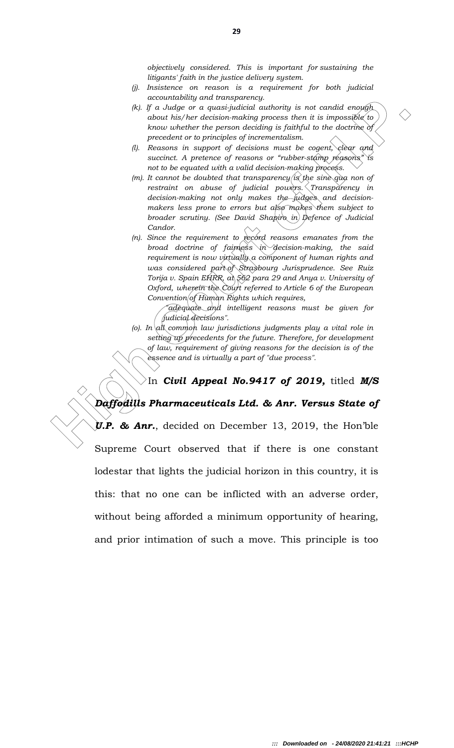objectively considered. This is important for sustaining the litigants' faith in the justice delivery system.

- (j). Insistence on reason is a requirement for both judicial accountability and transparency.
- (k). If a Judge or a quasi-judicial authority is not candid enough. about his/her decision-making process then it is impossible to know whether the person deciding is faithful to the doctrine of precedent or to principles of incrementalism.
- (l). Reasons in support of decisions must be cogent, clear and succinct. A pretence of reasons or "rubber-stamp reasons" is not to be equated with a valid decision-making process.
- (m). It cannot be doubted that transparency is the sine qua non of restraint on abuse of judicial powers. Transparency in decision-making not only makes the judges and decisionmakers less prone to errors but also makes them subject to broader scrutiny. (See David Shapiro in Defence of Judicial Candor.
- $(n)$ . Since the requirement to record reasons emanates from the broad doctrine of fairness in decision-making, the said requirement is now virtually a component of human rights and was considered part of Strasbourg Jurisprudence. See Ruiz Torija v. Spain EHRR,  $a\bar{b}$ , 562 para 29 and Anya v. University of Oxford, wherein the Court referred to Article 6 of the European  $Convention [of Hwman$  Rights which requires,
	- "adequate and intelligent reasons must be given for judicial decisions".

In Civil Appeal No.9417 of 2019, titled M/S

(o). In all common law jurisdictions judgments play a vital role in setting up precedents for the future. Therefore, for development of law, requirement of giving reasons for the decision is of the essence and is virtually a part of "due process".

constrained year orange and proposes here it is under the propose that is the subset of the propose of the propose in the subset of the propose of the propose of the subset of the propose of the subset of the propose of t Daffodills Pharmaceuticals Ltd. & Anr. Versus State of  $\mathcal{Y}.$  **& Anr.**, decided on December 13, 2019, the Hon'ble Supreme Court observed that if there is one constant lodestar that lights the judicial horizon in this country, it is this: that no one can be inflicted with an adverse order, without being afforded a minimum opportunity of hearing, and prior intimation of such a move. This principle is too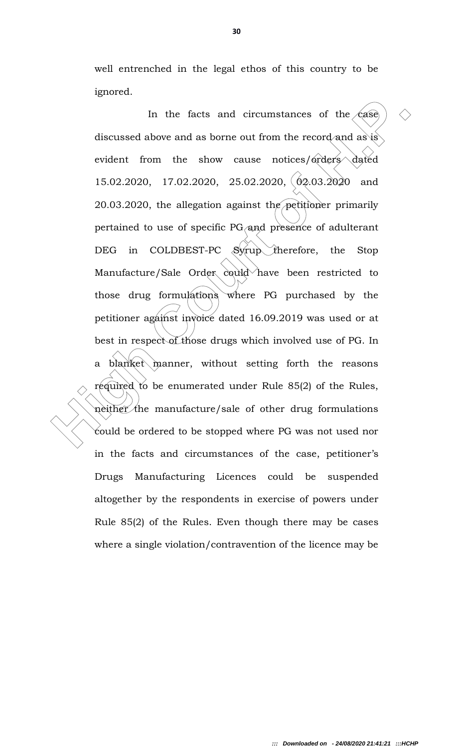well entrenched in the legal ethos of this country to be ignored.

In the facts and circumstances of the case)  $\Diamond$ <br>discussed above and as borne out from the record and as is<br>evident from the show cause notices/orders dated<br>15.02.2020, 17.02.2020, 25.02.2020,  $(02,03.2020)$  and<br>20.03.202 In the facts and circumstances of the  $\sqrt{\text{case}}$ discussed above and as borne out from the record and as is evident from the show cause notices/orders dated 15.02.2020, 17.02.2020, 25.02.2020, 02.03.2020 and 20.03.2020, the allegation against the petitioner primarily pertained to use of specific PG/and presence of adulterant DEG in COLDBEST-PC Syrup therefore, the Stop Manufacture/Sale Order could have been restricted to those drug formulations where PG purchased by the petitioner against invoice dated 16.09.2019 was used or at best in respect of those drugs which involved use of PG. In a blanket manner, without setting forth the reasons required to be enumerated under Rule 85(2) of the Rules, neither the manufacture/sale of other drug formulations could be ordered to be stopped where PG was not used nor in the facts and circumstances of the case, petitioner's Drugs Manufacturing Licences could be suspended altogether by the respondents in exercise of powers under Rule 85(2) of the Rules. Even though there may be cases where a single violation/contravention of the licence may be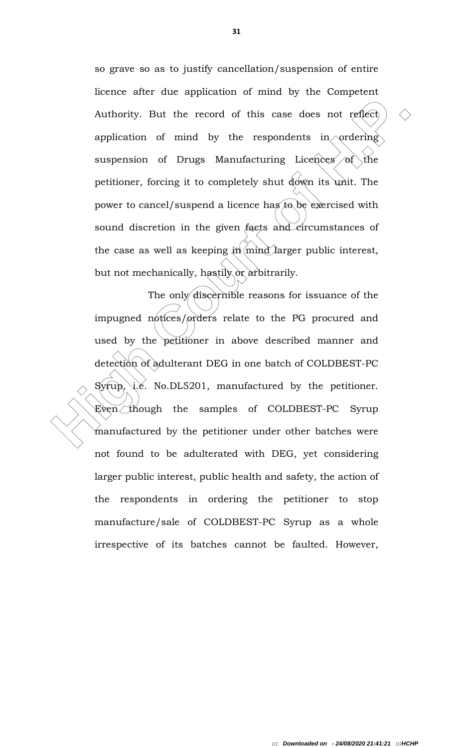so grave so as to justify cancellation/suspension of entire licence after due application of mind by the Competent Authority. But the record of this case does not reflect application of mind by the respondents in ordering suspension of Drugs Manufacturing Licences of the petitioner, forcing it to completely shut down its unit. The power to cancel/suspend a licence has to be exercised with sound discretion in the given facts and circumstances of the case as well as keeping  $\sin(\text{mind})$  larger public interest, but not mechanically, hastily or arbitrarily.

Authority. But the record of this case does not reflect  $\Diamond$ <br>
application of mind by the respondents in ordering<br>
suspension of Drugs Manufacturing Licences of the<br>
petitioner, forcing it to completely shut down its unit. The only discernible reasons for issuance of the impugned notices/orders relate to the PG procured and used by the petitioner in above described manner and detection of adulterant DEG in one batch of COLDBEST-PC  $Syrup, \text{ i.e. }$  No.DL5201, manufactured by the petitioner. Even though the samples of COLDBEST-PC Syrup manufactured by the petitioner under other batches were not found to be adulterated with DEG, yet considering larger public interest, public health and safety, the action of the respondents in ordering the petitioner to stop manufacture/sale of COLDBEST-PC Syrup as a whole irrespective of its batches cannot be faulted. However,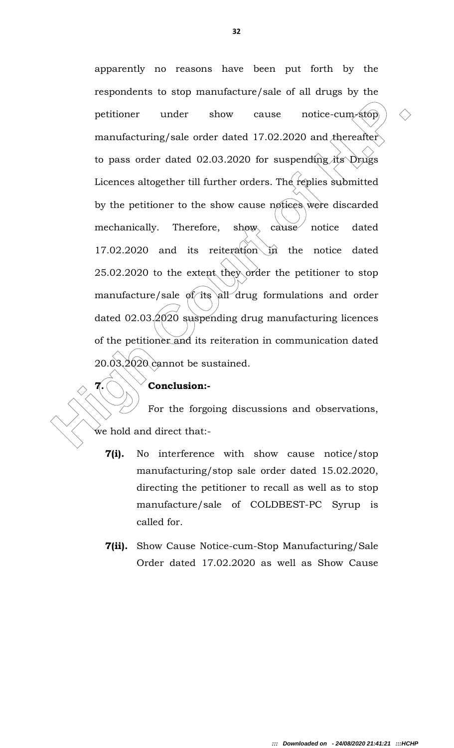petitioner under show cause notice-cum-stop)  $\Diamond$ <br>manufacturing/sale order dated 17.02.2020 and thereafter<br>to pass order dated 02.03.2020 for suspending its Drugs<br>Licences altogether till further orders. The feplies submit apparently no reasons have been put forth by the respondents to stop manufacture/sale of all drugs by the petitioner under show cause notice-cum-stop manufacturing/sale order dated  $17.02.2020$  and thereafter to pass order dated 02.03.2020 for suspending its Drugs Licences altogether till further orders. The replies submitted by the petitioner to the show cause notices were discarded mechanically. Therefore, show cause notice dated 17.02.2020 and its reiteration in the notice dated 25.02.2020 to the extent they order the petitioner to stop manufacture/sale of its all drug formulations and order dated  $02.03/2020$  suspending drug manufacturing licences of the petitioner and its reiteration in communication dated 20.03.2020 cannot be sustained.

### $7.$  Conclusion:-

 For the forgoing discussions and observations, we hold and direct that:-

- 7(i). No interference with show cause notice/stop manufacturing/stop sale order dated 15.02.2020, directing the petitioner to recall as well as to stop manufacture/sale of COLDBEST-PC Syrup is called for.
- **7(ii).** Show Cause Notice-cum-Stop Manufacturing/Sale Order dated 17.02.2020 as well as Show Cause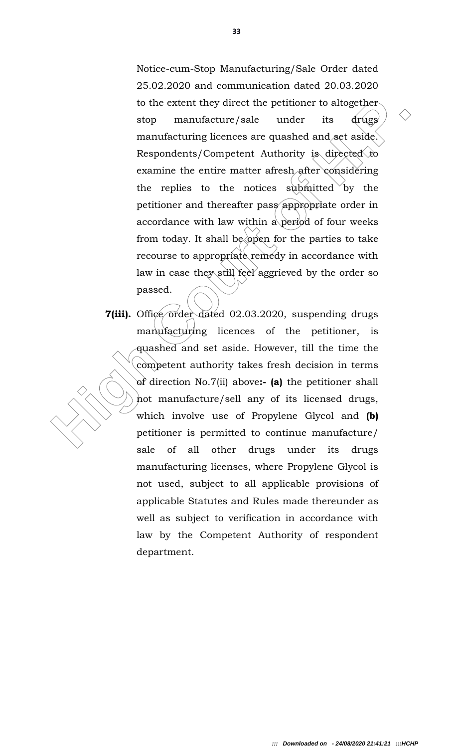to the extent they direct the petitioner to altogether<br>stop manufacture/sale under its drugs<br>manufacture/sale under its drugs<br>manufacture/sale under its drugs<br>expondents/Competent Authority is directed to<br>examine the enti Notice-cum-Stop Manufacturing/Sale Order dated 25.02.2020 and communication dated 20.03.2020 to the extent they direct the petitioner to altogether stop manufacture/sale under its drugs manufacturing licences are quashed and set aside. Respondents/Competent Authority is directed to examine the entire matter afresh after considering the replies to the notices submitted by the petitioner and thereafter pass appropriate order in accordance with law within a period of four weeks from today. It shall be open for the parties to take recourse to appropriate remedy in accordance with law in case they still feel aggrieved by the order so passed.

7(iii). Office order dated 02.03.2020, suspending drugs manufacturing licences of the petitioner, is quashed and set aside. However, till the time the competent authority takes fresh decision in terms of direction No.7(ii) above:- (a) the petitioner shall not manufacture/sell any of its licensed drugs, which involve use of Propylene Glycol and (b) petitioner is permitted to continue manufacture/ sale of all other drugs under its drugs manufacturing licenses, where Propylene Glycol is not used, subject to all applicable provisions of applicable Statutes and Rules made thereunder as well as subject to verification in accordance with law by the Competent Authority of respondent department.